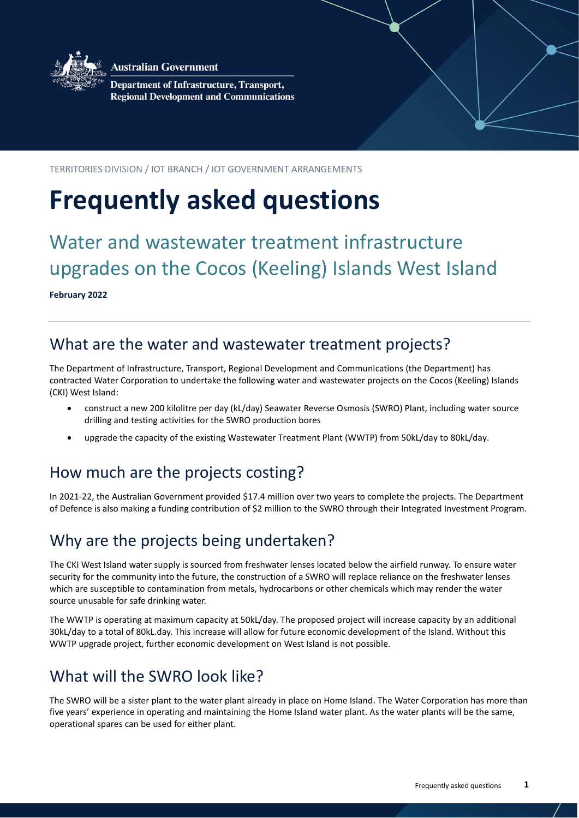

**Australian Government** 

**Department of Infrastructure, Transport, Regional Development and Communications** 

TERRITORIES DIVISION / IOT BRANCH / IOT GOVERNMENT ARRANGEMENTS

# **Frequently asked questions**

# Water and wastewater treatment infrastructure upgrades on the Cocos (Keeling) Islands West Island

**February 2022**

# What are the water and wastewater treatment projects?

The Department of Infrastructure, Transport, Regional Development and Communications (the Department) has contracted Water Corporation to undertake the following water and wastewater projects on the Cocos (Keeling) Islands (CKI) West Island:

- construct a new 200 kilolitre per day (kL/day) Seawater Reverse Osmosis (SWRO) Plant, including water source drilling and testing activities for the SWRO production bores
- upgrade the capacity of the existing Wastewater Treatment Plant (WWTP) from 50kL/day to 80kL/day.

# How much are the projects costing?

In 2021-22, the Australian Government provided \$17.4 million over two years to complete the projects. The Department of Defence is also making a funding contribution of \$2 million to the SWRO through their Integrated Investment Program.

# Why are the projects being undertaken?

The CKI West Island water supply is sourced from freshwater lenses located below the airfield runway. To ensure water security for the community into the future, the construction of a SWRO will replace reliance on the freshwater lenses which are susceptible to contamination from metals, hydrocarbons or other chemicals which may render the water source unusable for safe drinking water.

The WWTP is operating at maximum capacity at 50kL/day. The proposed project will increase capacity by an additional 30kL/day to a total of 80kL.day. This increase will allow for future economic development of the Island. Without this WWTP upgrade project, further economic development on West Island is not possible.

# What will the SWRO look like?

The SWRO will be a sister plant to the water plant already in place on Home Island. The Water Corporation has more than five years' experience in operating and maintaining the Home Island water plant. As the water plants will be the same, operational spares can be used for either plant.